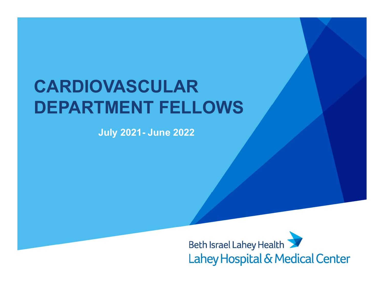# CARDIOVASCULAR DEPARTMENT FELLOWS **SANDREAD SECTION SERVIS CONTROLLAR**<br>TMENT FELLOWS<br>July 2021- June 2022

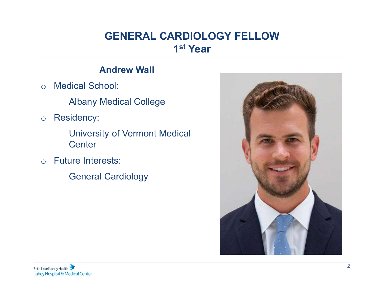# GENERAL CARDIOLOGY FELLOW 1 st Year

## Andrew Wall

o Medical School:

Albany Medical College

o Residency:

University of Vermont Medical **Center** 

o Future Interests:

General Cardiology

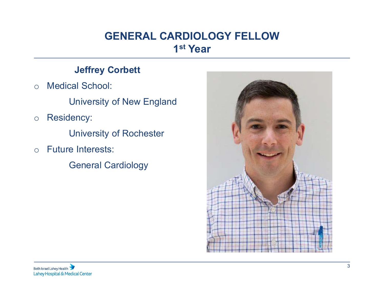# GENERAL CARDIOLOGY FELLOW 1 st Year

## Jeffrey Corbett

o Medical School:

University of New England

o Residency:

University of Rochester

o Future Interests:

General Cardiology

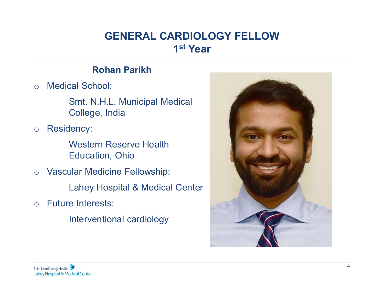# GENERAL CARDIOLOGY FELLOW<br>
1<sup>st</sup> Year<br>
Rohan Parikh<br>
hool:<br>
N H L. Municipal Medical GENERAL CARDIOLOGY FELLOW 1 st Year

o Medical School:

Smt. N.H.L. Municipal Medical College, India

o Residency:

Western Reserve Health Education, Ohio

o Vascular Medicine Fellowship: Lahey Hospital & Medical Center

o Future Interests:

Interventional cardiology

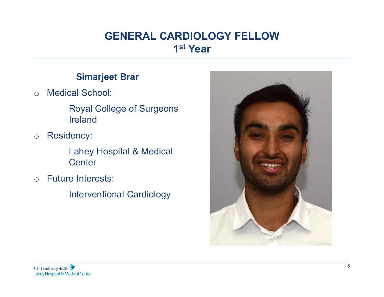# GENERAL CARDIOLOGY FELLOW<br>
1<sup>st</sup> Year<br>
Simarjeet Brar<br>
I School:<br>
aval College of Surgeons GENERAL CARDIOLOGY FELLOW 1 st Year

o Medical School:

Royal College of Surgeons Ireland

o Residency:

**Center** 

o Future Interests:

Interventional Cardiology

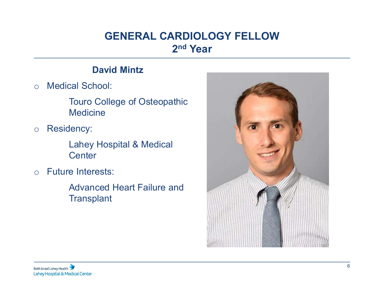# GENERAL CARDIOLOGY FELLOW 2nd Year

## David Mintz

o Medical School:

Touro College of Osteopathic **Medicine** 

o Residency:

Lahey Hospital & Medical **Center** 

o Future Interests:

Advanced Heart Failure and **Transplant** 

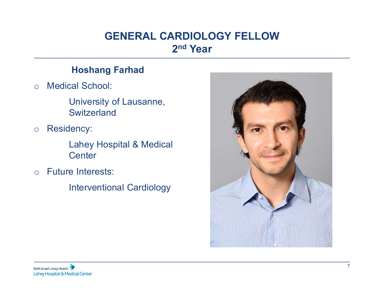# GENERAL CARDIOLOGY FELLON<br>
2<sup>nd</sup> Year<br>
Hoshang Farhad<br>
al School:<br>
Iniversity of Lausanne GENERAL CARDIOLOGY FELLOW 2nd Year

o Medical School:

University of Lausanne, **Switzerland** 

o Residency:

Lahey Hospital & Medical **Center** 

o Future Interests:

Interventional Cardiology

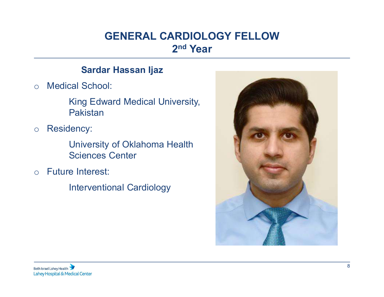# GENERAL CARDIOLOGY FELLOW 2nd Year

## Sardar Hassan Ijaz

o Medical School:

King Edward Medical University, Pakistan

o Residency:

University of Oklahoma Health Sciences Center

o Future Interest:

Interventional Cardiology

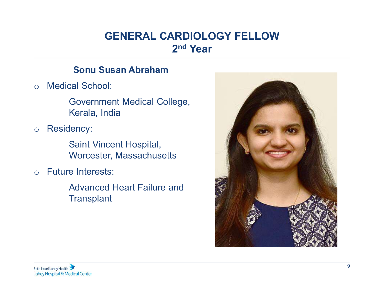# GENERAL CARDIOLOGY FELLOW 2nd Year

## Sonu Susan Abraham

o Medical School:

Government Medical College, Kerala, India

o Residency:

Saint Vincent Hospital, Worcester, Massachusetts

o Future Interests:

Advanced Heart Failure and **Transplant** 

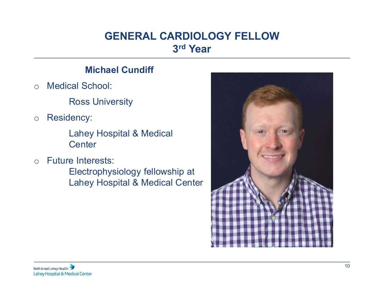# GENERAL CARDIOLOGY FELLOW 3 rd Year

## Michael Cundiff

o Medical School:

Ross University

o Residency:

Lahey Hospital & Medical **Center** 

o Future Interests:

Electrophysiology fellowship at Lahey Hospital & Medical Center

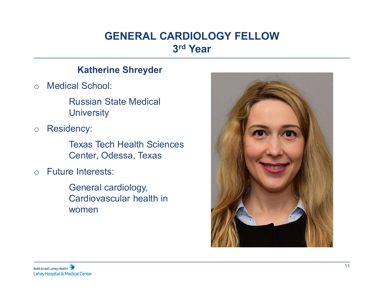# GENERAL CARDIOLOGY FELLOW 3 rd Year

## Katherine Shreyder

o Medical School:

Russian State Medical **University** 

o Residency:

Texas Tech Health Sciences Center, Odessa, Texas

o Future Interests:

General cardiology, Cardiovascular health in women

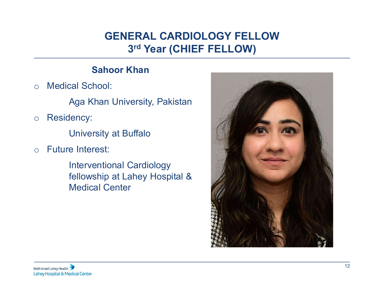# GENERAL CARDIOLOGY FELLOW<br>3rd Year (CHIEF FELLOW)<br>Sahoor Khan<br>hool:<br>Chan University Pakistan GENERAL CARDIOLOGY FELLOW 3 rd Year (CHIEF FELLOW)

o Medical School:

Aga Khan University, Pakistan

- o Residency:
	- University at Buffalo
- o Future Interest:

Interventional Cardiology fellowship at Lahey Hospital & Medical Center

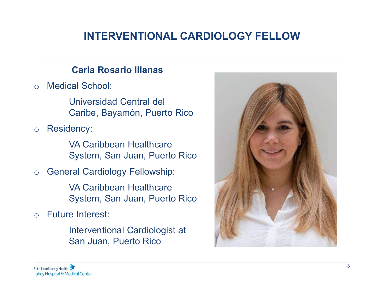# INTERVENTIONAL CARDIOLOGY FELLOW

o Medical School:

Universidad Central del Caribe, Bayamón, Puerto Rico

o Residency:

VA Caribbean Healthcare System, San Juan, Puerto Rico

o General Cardiology Fellowship:

VA Caribbean Healthcare System, San Juan, Puerto Rico

o Future Interest:

Interventional Cardiologist at San Juan, Puerto Rico

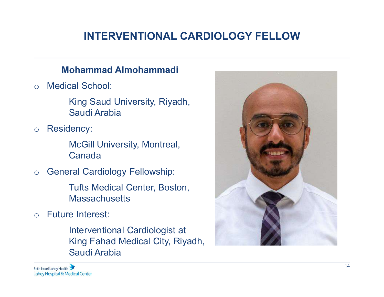# INTERVENTIONAL CARDIOLOGY FELLOW

## Mohammad Almohammadi

o Medical School:

King Saud University, Riyadh, Saudi Arabia

o Residency:

McGill University, Montreal, Canada

o General Cardiology Fellowship:

Tufts Medical Center, Boston, **Massachusetts** 

o Future Interest:

Interventional Cardiologist at King Fahad Medical City, Riyadh, Saudi Arabia

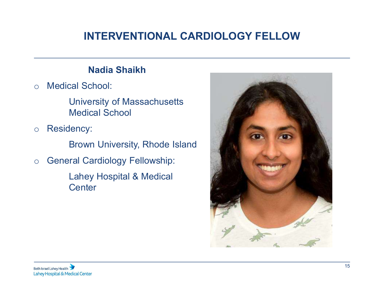# INTERVENTIONAL CARDIOLOGY FELLOW

o Medical School:

University of Massachusetts Medical School

o Residency:

Brown University, Rhode Island

o General Cardiology Fellowship:

Lahey Hospital & Medical **Center** 

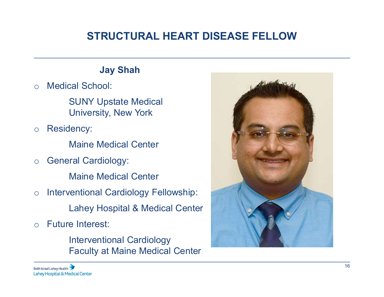# STRUCTURAL HEART DISEASE FELLOW

o Medical School:

SUNY Upstate Medical University, New York

o Residency:

Maine Medical Center

o General Cardiology:

Maine Medical Center

o Interventional Cardiology Fellowship:

Lahey Hospital & Medical Center

o Future Interest:

Interventional Cardiology Faculty at Maine Medical Center

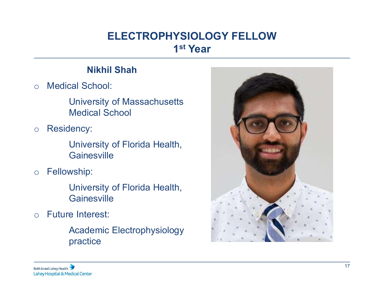# ELECTROPHYSIOLOGY FELLOW<br>
1<sup>st</sup> Year<br>
Nikhil Shah<br>
chool:<br>
ersity of Massachusetts ELECTROPHYSIOLOGY FELLOW 1 st Year

o Medical School:

University of Massachusetts Medical School

o Residency:

University of Florida Health, **Gainesville** 

o Fellowship:

University of Florida Health, **Gainesville** 

o Future Interest:

Academic Electrophysiology practice

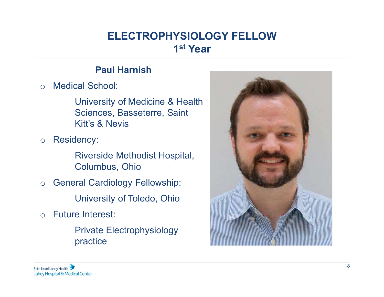# ELECTROPHYSIOLOGY FELLOW<br>
1<sup>st</sup> Year<br>
Paul Harnish<br>
chool:<br>
Parsity of Medicine & Health ELECTROPHYSIOLOGY FELLOW 1 st Year

o Medical School:

University of Medicine & Health Sciences, Basseterre, Saint Kitt's & Nevis

o Residency:

Riverside Methodist Hospital, Columbus, Ohio

- o General Cardiology Fellowship: University of Toledo, Ohio
- o Future Interest:

Private Electrophysiology practice

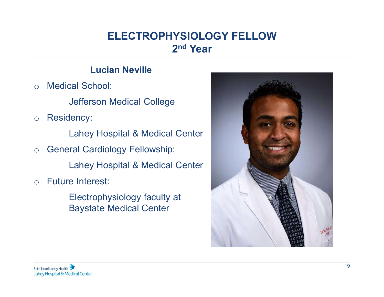# ELECTROPHYSIOLOGY FELLOW<br>
2<sup>nd</sup> Year<br>
Lucian Neville<br>
chool:<br>
Son Medical College ELECTROPHYSIOLOGY FELLOW 2nd Year

o Medical School:

Jefferson Medical College

o Residency:

Lahey Hospital & Medical Center

o General Cardiology Fellowship:

Lahey Hospital & Medical Center

- o Future Interest:
	- Electrophysiology faculty at Baystate Medical Center